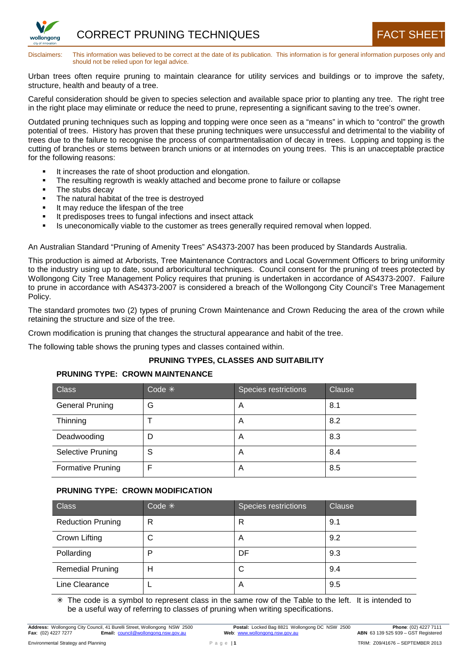

Disclaimers: This information was believed to be correct at the date of its publication. This information is for general information purposes only and should not be relied upon for legal advice.

Urban trees often require pruning to maintain clearance for utility services and buildings or to improve the safety, structure, health and beauty of a tree.

Careful consideration should be given to species selection and available space prior to planting any tree. The right tree in the right place may eliminate or reduce the need to prune, representing a significant saving to the tree's owner.

Outdated pruning techniques such as lopping and topping were once seen as a "means" in which to "control" the growth potential of trees. History has proven that these pruning techniques were unsuccessful and detrimental to the viability of trees due to the failure to recognise the process of compartmentalisation of decay in trees. Lopping and topping is the cutting of branches or stems between branch unions or at internodes on young trees. This is an unacceptable practice for the following reasons:

- It increases the rate of shoot production and elongation.
- The resulting regrowth is weakly attached and become prone to failure or collapse
- The stubs decay
- The natural habitat of the tree is destroyed
- It may reduce the lifespan of the tree
- It predisposes trees to fungal infections and insect attack
- **IS uneconomically viable to the customer as trees generally required removal when lopped.**

An Australian Standard "Pruning of Amenity Trees" AS4373-2007 has been produced by Standards Australia.

This production is aimed at Arborists, Tree Maintenance Contractors and Local Government Officers to bring uniformity to the industry using up to date, sound arboricultural techniques. Council consent for the pruning of trees protected by Wollongong City Tree Management Policy requires that pruning is undertaken in accordance of AS4373-2007. Failure to prune in accordance with AS4373-2007 is considered a breach of the Wollongong City Council's Tree Management Policy.

The standard promotes two (2) types of pruning Crown Maintenance and Crown Reducing the area of the crown while retaining the structure and size of the tree.

Crown modification is pruning that changes the structural appearance and habit of the tree.

The following table shows the pruning types and classes contained within.

### **PRUNING TYPES, CLASSES AND SUITABILITY**

### **PRUNING TYPE: CROWN MAINTENANCE**

| <b>Class</b>             | Code $*$ | Species restrictions | Clause |
|--------------------------|----------|----------------------|--------|
| <b>General Pruning</b>   | G        | A                    | 8.1    |
| Thinning                 |          | A                    | 8.2    |
| Deadwooding              | D        | A                    | 8.3    |
| <b>Selective Pruning</b> | S        | A                    | 8.4    |
| <b>Formative Pruning</b> |          | A                    | 8.5    |

### **PRUNING TYPE: CROWN MODIFICATION**

| <b>Class</b>             | Code $*$ | Species restrictions | Clause |
|--------------------------|----------|----------------------|--------|
| <b>Reduction Pruning</b> | R        | R                    | 9.1    |
| Crown Lifting            | С        | A                    | 9.2    |
| Pollarding               | P        | DF                   | 9.3    |
| <b>Remedial Pruning</b>  | н        | С                    | 9.4    |
| Line Clearance           |          | A                    | 9.5    |

 $*$  The code is a symbol to represent class in the same row of the Table to the left. It is intended to be a useful way of referring to classes of pruning when writing specifications.